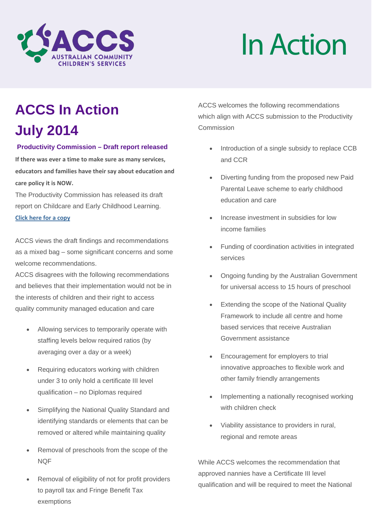

# InAction

## **ACCS In Action**

## **July 2014**

#### **Productivity Commission – Draft report released**

**If there was ever a time to make sure as many services, educators and families have their say about education and care policy it is NOW.**

The Productivity Commission has released its draft report on Childcare and Early Childhood Learning. **[Click here](http://cccinc.us2.list-manage.com/track/click?u=8f18b0f5d51d13887429e6222&id=764fa2ad02&e=1df94dd6d0) [for a copy](http://cccinc.us2.list-manage.com/track/click?u=8f18b0f5d51d13887429e6222&id=0ed551fbe6&e=1df94dd6d0)**

ACCS views the draft findings and recommendations as a mixed bag – some significant concerns and some welcome recommendations.

ACCS disagrees with the following recommendations and believes that their implementation would not be in the interests of children and their right to access quality community managed education and care

- Allowing services to temporarily operate with staffing levels below required ratios (by averaging over a day or a week)
- Requiring educators working with children under 3 to only hold a certificate III level qualification – no Diplomas required
- Simplifying the National Quality Standard and identifying standards or elements that can be removed or altered while maintaining quality
- Removal of preschools from the scope of the **NOF**
- Removal of eligibility of not for profit providers to payroll tax and Fringe Benefit Tax exemptions

ACCS welcomes the following recommendations which align with ACCS submission to the Productivity Commission

- Introduction of a single subsidy to replace CCB and CCR
- Diverting funding from the proposed new Paid Parental Leave scheme to early childhood education and care
- Increase investment in subsidies for low income families
- Funding of coordination activities in integrated services
- Ongoing funding by the Australian Government for universal access to 15 hours of preschool
- Extending the scope of the National Quality Framework to include all centre and home based services that receive Australian Government assistance
- Encouragement for employers to trial innovative approaches to flexible work and other family friendly arrangements
- Implementing a nationally recognised working with children check
- Viability assistance to providers in rural, regional and remote areas

While ACCS welcomes the recommendation that approved nannies have a Certificate III level qualification and will be required to meet the National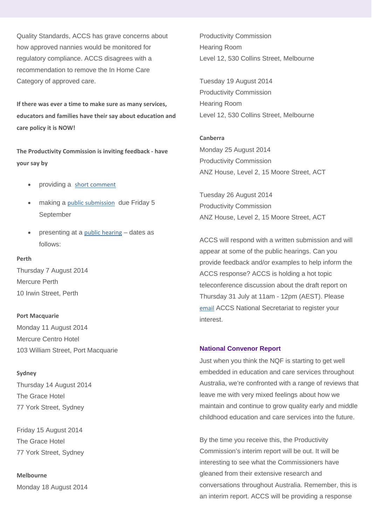Quality Standards, ACCS has grave concerns about how approved nannies would be monitored for regulatory compliance. ACCS disagrees with a recommendation to remove the In Home Care Category of approved care.

**If there was ever a time to make sure as many services, educators and families have their say about education and care policy it is NOW!**

**The Productivity Commission is inviting feedback - have your say by**

- providing a [short comment](http://cccinc.us2.list-manage.com/track/click?u=8f18b0f5d51d13887429e6222&id=2ff7c668c5&e=1df94dd6d0)
- making a [public submission](http://cccinc.us2.list-manage1.com/track/click?u=8f18b0f5d51d13887429e6222&id=7b37c6dc10&e=1df94dd6d0) due Friday 5 September
- presenting at a [public hearing](http://cccinc.us2.list-manage2.com/track/click?u=8f18b0f5d51d13887429e6222&id=c75804ceb1&e=1df94dd6d0) dates as follows:

#### **Perth**

Thursday 7 August 2014 Mercure Perth 10 Irwin Street, Perth

**Port Macquarie** Monday 11 August 2014 Mercure Centro Hotel 103 William Street, Port Macquarie

**Sydney** Thursday 14 August 2014 The Grace Hotel 77 York Street, Sydney

Friday 15 August 2014 The Grace Hotel 77 York Street, Sydney

**Melbourne**  Monday 18 August 2014 Productivity Commission Hearing Room Level 12, 530 Collins Street, Melbourne

Tuesday 19 August 2014 Productivity Commission Hearing Room Level 12, 530 Collins Street, Melbourne

**Canberra**

Monday 25 August 2014 Productivity Commission ANZ House, Level 2, 15 Moore Street, ACT

Tuesday 26 August 2014 Productivity Commission ANZ House, Level 2, 15 Moore Street, ACT

ACCS will respond with a written submission and will appear at some of the public hearings. Can you provide feedback and/or examples to help inform the ACCS response? ACCS is holding a hot topic teleconference discussion about the draft report on Thursday 31 July at 11am - 12pm (AEST). Please [email](mailto:ausccs@cccinc.org.au) ACCS National Secretariat to register your interest.

#### **National Convenor Report**

Just when you think the NQF is starting to get well embedded in education and care services throughout Australia, we're confronted with a range of reviews that leave me with very mixed feelings about how we maintain and continue to grow quality early and middle childhood education and care services into the future.

By the time you receive this, the Productivity Commission's interim report will be out. It will be interesting to see what the Commissioners have gleaned from their extensive research and conversations throughout Australia. Remember, this is an interim report. ACCS will be providing a response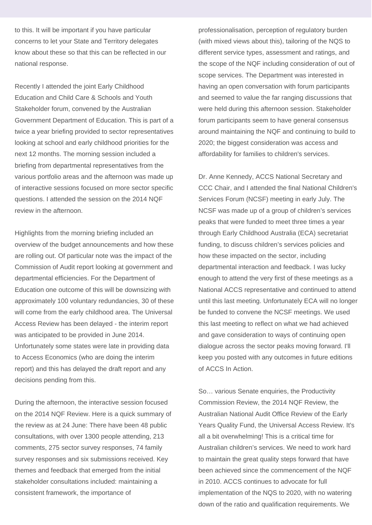to this. It will be important if you have particular concerns to let your State and Territory delegates know about these so that this can be reflected in our national response.

Recently I attended the joint Early Childhood Education and Child Care & Schools and Youth Stakeholder forum, convened by the Australian Government Department of Education. This is part of a twice a year briefing provided to sector representatives looking at school and early childhood priorities for the next 12 months. The morning session included a briefing from departmental representatives from the various portfolio areas and the afternoon was made up of interactive sessions focused on more sector specific questions. I attended the session on the 2014 NQF review in the afternoon.

Highlights from the morning briefing included an overview of the budget announcements and how these are rolling out. Of particular note was the impact of the Commission of Audit report looking at government and departmental efficiencies. For the Department of Education one outcome of this will be downsizing with approximately 100 voluntary redundancies, 30 of these will come from the early childhood area. The Universal Access Review has been delayed - the interim report was anticipated to be provided in June 2014. Unfortunately some states were late in providing data to Access Economics (who are doing the interim report) and this has delayed the draft report and any decisions pending from this.

During the afternoon, the interactive session focused on the 2014 NQF Review. Here is a quick summary of the review as at 24 June: There have been 48 public consultations, with over 1300 people attending, 213 comments, 275 sector survey responses, 74 family survey responses and six submissions received. Key themes and feedback that emerged from the initial stakeholder consultations included: maintaining a consistent framework, the importance of

professionalisation, perception of regulatory burden (with mixed views about this), tailoring of the NQS to different service types, assessment and ratings, and the scope of the NQF including consideration of out of scope services. The Department was interested in having an open conversation with forum participants and seemed to value the far ranging discussions that were held during this afternoon session. Stakeholder forum participants seem to have general consensus around maintaining the NQF and continuing to build to 2020; the biggest consideration was access and affordability for families to children's services.

Dr. Anne Kennedy, ACCS National Secretary and CCC Chair, and I attended the final National Children's Services Forum (NCSF) meeting in early July. The NCSF was made up of a group of children's services peaks that were funded to meet three times a year through Early Childhood Australia (ECA) secretariat funding, to discuss children's services policies and how these impacted on the sector, including departmental interaction and feedback. I was lucky enough to attend the very first of these meetings as a National ACCS representative and continued to attend until this last meeting. Unfortunately ECA will no longer be funded to convene the NCSF meetings. We used this last meeting to reflect on what we had achieved and gave consideration to ways of continuing open dialogue across the sector peaks moving forward. I'll keep you posted with any outcomes in future editions of ACCS In Action.

So… various Senate enquiries, the Productivity Commission Review, the 2014 NQF Review, the Australian National Audit Office Review of the Early Years Quality Fund, the Universal Access Review. It's all a bit overwhelming! This is a critical time for Australian children's services. We need to work hard to maintain the great quality steps forward that have been achieved since the commencement of the NQF in 2010. ACCS continues to advocate for full implementation of the NQS to 2020, with no watering down of the ratio and qualification requirements. We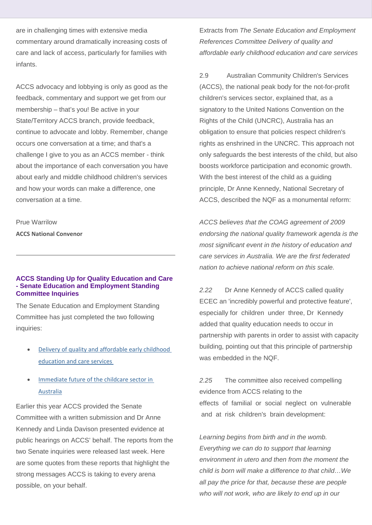are in challenging times with extensive media commentary around dramatically increasing costs of care and lack of access, particularly for families with infants.

ACCS advocacy and lobbying is only as good as the feedback, commentary and support we get from our membership – that's you! Be active in your State/Territory ACCS branch, provide feedback, continue to advocate and lobby. Remember, change occurs one conversation at a time; and that's a challenge I give to you as an ACCS member - think about the importance of each conversation you have about early and middle childhood children's services and how your words can make a difference, one conversation at a time.

Prue Warrilow **ACCS National Convenor**

#### **ACCS Standing Up for Quality Education and Care - Senate Education and Employment Standing Committee Inquiries**

The Senate Education and Employment Standing Committee has just completed the two following inquiries:

- Delivery of quality and affordable early childhood [education and care services](http://cccinc.us2.list-manage1.com/track/click?u=8f18b0f5d51d13887429e6222&id=691a41b9d4&e=1df94dd6d0)
- [Immediate future of the childcare sector in](http://cccinc.us2.list-manage1.com/track/click?u=8f18b0f5d51d13887429e6222&id=1ce36be05a&e=1df94dd6d0)  [Australia](http://cccinc.us2.list-manage1.com/track/click?u=8f18b0f5d51d13887429e6222&id=1ce36be05a&e=1df94dd6d0)

Earlier this year ACCS provided the Senate Committee with a written submission and Dr Anne Kennedy and Linda Davison presented evidence at public hearings on ACCS' behalf. The reports from the two Senate inquiries were released last week. Here are some quotes from these reports that highlight the strong messages ACCS is taking to every arena possible, on your behalf.

Extracts from *The Senate Education and Employment References Committee Delivery of quality and affordable early childhood education and care services*

2.9 Australian Community Children's Services (ACCS), the national peak body for the not-for-profit children's services sector, explained that, as a signatory to the United Nations Convention on the Rights of the Child (UNCRC), Australia has an obligation to ensure that policies respect children's rights as enshrined in the UNCRC. This approach not only safeguards the best interests of the child, but also boosts workforce participation and economic growth. With the best interest of the child as a guiding principle, Dr Anne Kennedy, National Secretary of ACCS, described the NQF as a monumental reform:

*ACCS believes that the COAG agreement of 2009 endorsing the national quality framework agenda is the most significant event in the history of education and care services in Australia. We are the first federated nation to achieve national reform on this scale.*

*2.22* Dr Anne Kennedy of ACCS called quality ECEC an 'incredibly powerful and protective feature', especially for children under three, Dr Kennedy added that quality education needs to occur in partnership with parents in order to assist with capacity building, pointing out that this principle of partnership was embedded in the NQF.

*2.25* The committee also received compelling evidence from ACCS relating to the effects of familial or social neglect on vulnerable and at risk children's brain development:

*Learning begins from birth and in the womb. Everything we can do to support that learning environment in utero and then from the moment the child is born will make a difference to that child…We all pay the price for that, because these are people who will not work, who are likely to end up in our*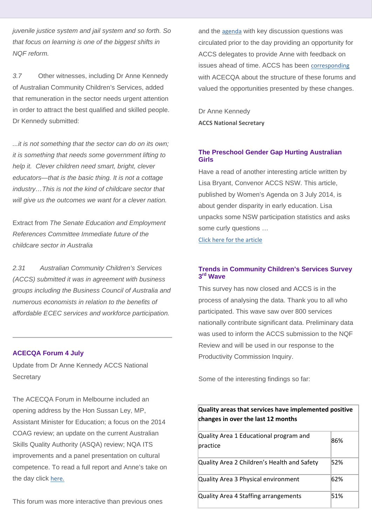*juvenile justice system and jail system and so forth. So that focus on learning is one of the biggest shifts in NQF reform.*

*3.7* Other witnesses, including Dr Anne Kennedy of Australian Community Children's Services, added that remuneration in the sector needs urgent attention in order to attract the best qualified and skilled people. Dr Kennedy submitted:

*...it is not something that the sector can do on its own; it is something that needs some government lifting to help it. Clever children need smart, bright, clever educators—that is the basic thing. It is not a cottage industry…This is not the kind of childcare sector that will give us the outcomes we want for a clever nation.*

Extract from *The Senate Education and Employment References Committee Immediate future of the childcare sector in Australia*

*2.31 Australian Community Children's Services (ACCS) submitted it was in agreement with business groups including the Business Council of Australia and numerous economists in relation to the benefits of affordable ECEC services and workforce participation.*

#### **ACECQA Forum 4 July**

Update from Dr Anne Kennedy ACCS National **Secretary** 

The ACECQA Forum in Melbourne included an opening address by the Hon Sussan Ley, MP, Assistant Minister for Education; a focus on the 2014 COAG review; an update on the current Australian Skills Quality Authority (ASQA) review; NQA ITS improvements and a panel presentation on cultural competence. To read a full report and Anne's take on the day click [here.](http://cccinc.us2.list-manage.com/track/click?u=8f18b0f5d51d13887429e6222&id=68f937bccf&e=1df94dd6d0)

This forum was more interactive than previous ones

and the [agenda](http://cccinc.us2.list-manage2.com/track/click?u=8f18b0f5d51d13887429e6222&id=b10b1ad062&e=1df94dd6d0) with key discussion questions was circulated prior to the day providing an opportunity for ACCS delegates to provide Anne with feedback on issues ahead of time. ACCS has been [corresponding](http://cccinc.us2.list-manage.com/track/click?u=8f18b0f5d51d13887429e6222&id=8a0a21150b&e=1df94dd6d0) with ACECQA about the structure of these forums and valued the opportunities presented by these changes.

Dr Anne Kennedy **ACCS National Secretary** 

#### **The Preschool Gender Gap Hurting Australian Girls**

Have a read of another interesting article written by Lisa Bryant, Convenor ACCS NSW. This article, published by Women's Agenda on 3 July 2014, is about gender disparity in early education. Lisa unpacks some NSW participation statistics and asks some curly questions …

[Click here for the article](http://cccinc.us2.list-manage2.com/track/click?u=8f18b0f5d51d13887429e6222&id=92a6472e82&e=1df94dd6d0)

#### **Trends in Community Children's Services Survey 3rd Wave**

This survey has now closed and ACCS is in the process of analysing the data. Thank you to all who participated. This wave saw over 800 services nationally contribute significant data. Preliminary data was used to inform the ACCS submission to the NQF Review and will be used in our response to the Productivity Commission Inquiry.

Some of the interesting findings so far:

**changes in over the last 12 months**

| changes in over the last 12 months                 |     |
|----------------------------------------------------|-----|
| Quality Area 1 Educational program and<br>practice | 86% |
| Quality Area 2 Children's Health and Safety        | 52% |
| Quality Area 3 Physical environment                | 62% |
| Quality Area 4 Staffing arrangements               | 51% |

**Quality areas that services have implemented positive**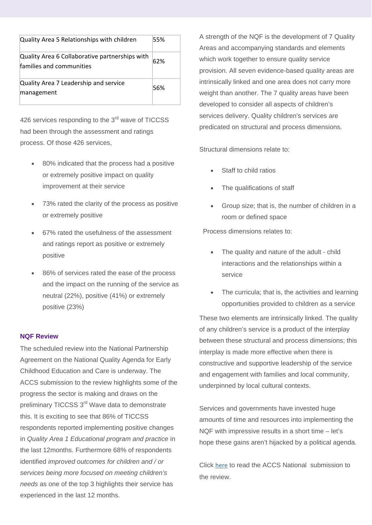| Quality Area 5 Relationships with children                                 | 55% |
|----------------------------------------------------------------------------|-----|
| Quality Area 6 Collaborative partnerships with<br>families and communities | 62% |
| Quality Area 7 Leadership and service<br>management                        | 56% |

426 services responding to the 3<sup>rd</sup> wave of TICCSS had been through the assessment and ratings process. Of those 426 services,

- 80% indicated that the process had a positive or extremely positive impact on quality improvement at their service
- 73% rated the clarity of the process as positive or extremely positive
- 67% rated the usefulness of the assessment and ratings report as positive or extremely positive
- 86% of services rated the ease of the process and the impact on the running of the service as neutral (22%), positive (41%) or extremely positive (23%)

#### **NQF Review**

The scheduled review into the National Partnership Agreement on the National Quality Agenda for Early Childhood Education and Care is underway. The ACCS submission to the review highlights some of the progress the sector is making and draws on the preliminary TICCSS 3<sup>rd</sup> Wave data to demonstrate this. It is exciting to see that 86% of TICCSS respondents reported implementing positive changes in *Quality Area 1 Educational program and practice* in the last 12months. Furthermore 68% of respondents identified *improved outcomes for children and / or services being more focused on meeting children's needs* as one of the top 3 highlights their service has experienced in the last 12 months.

A strength of the NQF is the development of 7 Quality Areas and accompanying standards and elements which work together to ensure quality service provision. All seven evidence-based quality areas are intrinsically linked and one area does not carry more weight than another. The 7 quality areas have been developed to consider all aspects of children's services delivery. Quality children's services are predicated on structural and process dimensions.

Structural dimensions relate to:

- Staff to child ratios
- The qualifications of staff
- Group size; that is, the number of children in a room or defined space

Process dimensions relates to:

- The quality and nature of the adult child interactions and the relationships within a service
- The curricula; that is, the activities and learning opportunities provided to children as a service

These two elements are intrinsically linked. The quality of any children's service is a product of the interplay between these structural and process dimensions; this interplay is made more effective when there is constructive and supportive leadership of the service and engagement with families and local community, underpinned by local cultural contexts.

Services and governments have invested huge amounts of time and resources into implementing the NQF with impressive results in a short time – let's hope these gains aren't hijacked by a political agenda.

Click [here](http://cccinc.us2.list-manage.com/track/click?u=8f18b0f5d51d13887429e6222&id=4177748d05&e=1df94dd6d0) to read the ACCS National submission to the review.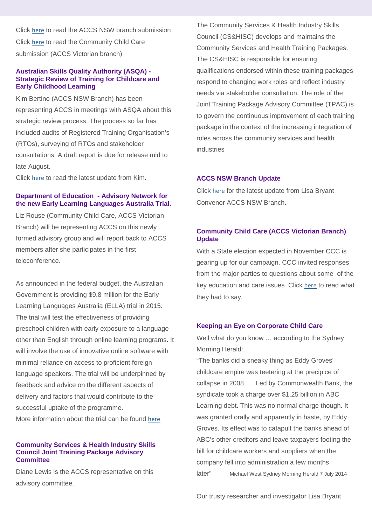Click [here](http://cccinc.us2.list-manage2.com/track/click?u=8f18b0f5d51d13887429e6222&id=7e4b602f82&e=1df94dd6d0) to read the ACCS NSW branch submission Click [here](http://cccinc.us2.list-manage.com/track/click?u=8f18b0f5d51d13887429e6222&id=df4b4813c7&e=1df94dd6d0) to read the Community Child Care submission (ACCS Victorian branch)

#### **Australian Skills Quality Authority (ASQA) - Strategic Review of Training for Childcare and Early Childhood Learning**

Kim Bertino (ACCS NSW Branch) has been representing ACCS in meetings with ASQA about this strategic review process. The process so far has included audits of Registered Training Organisation's (RTOs), surveying of RTOs and stakeholder consultations. A draft report is due for release mid to late August.

Click [here](http://cccinc.us2.list-manage.com/track/click?u=8f18b0f5d51d13887429e6222&id=95a24e5894&e=1df94dd6d0) to read the latest update from Kim.

#### **Department of Education - Advisory Network for the new Early Learning Languages Australia Trial.**

Liz Rouse (Community Child Care, ACCS Victorian Branch) will be representing ACCS on this newly formed advisory group and will report back to ACCS members after she participates in the first teleconference.

As announced in the federal budget, the Australian Government is providing \$9.8 million for the Early Learning Languages Australia (ELLA) trial in 2015. The trial will test the effectiveness of providing preschool children with early exposure to a language other than English through online learning programs. It will involve the use of innovative online software with minimal reliance on access to proficient foreign language speakers. The trial will be underpinned by feedback and advice on the different aspects of delivery and factors that would contribute to the successful uptake of the programme. More information about the trial can be found [here](http://cccinc.us2.list-manage.com/track/click?u=8f18b0f5d51d13887429e6222&id=0d3f894b01&e=1df94dd6d0)

#### **Community Services & Health Industry Skills Council Joint Training Package Advisory Committee**

Diane Lewis is the ACCS representative on this advisory committee.

The Community Services & Health Industry Skills Council (CS&HISC) develops and maintains the Community Services and Health Training Packages. The CS&HISC is responsible for ensuring qualifications endorsed within these training packages respond to changing work roles and reflect industry needs via stakeholder consultation. The role of the Joint Training Package Advisory Committee (TPAC) is to govern the continuous improvement of each training package in the context of the increasing integration of roles across the community services and health industries

#### **ACCS NSW Branch Update**

Click [here](http://cccinc.us2.list-manage1.com/track/click?u=8f18b0f5d51d13887429e6222&id=c7f4e0e688&e=1df94dd6d0) for the latest update from Lisa Bryant Convenor ACCS NSW Branch.

#### **Community Child Care (ACCS Victorian Branch) Update**

With a State election expected in November CCC is gearing up for our campaign. CCC invited responses from the major parties to questions about some of the key education and care issues. Click [here](http://cccinc.us2.list-manage1.com/track/click?u=8f18b0f5d51d13887429e6222&id=acc26a03da&e=1df94dd6d0) to read what they had to say.

#### **Keeping an Eye on Corporate Child Care**

Well what do you know … according to the Sydney Morning Herald:

"The banks did a sneaky thing as Eddy Groves' childcare empire was teetering at the precipice of collapse in 2008 …..Led by Commonwealth Bank, the syndicate took a charge over \$1.25 billion in ABC Learning debt. This was no normal charge though. It was granted orally and apparently in haste, by Eddy Groves. Its effect was to catapult the banks ahead of ABC's other creditors and leave taxpayers footing the bill for childcare workers and suppliers when the company fell into administration a few months later" Michael West Sydney Morning Herald 7 July 2014